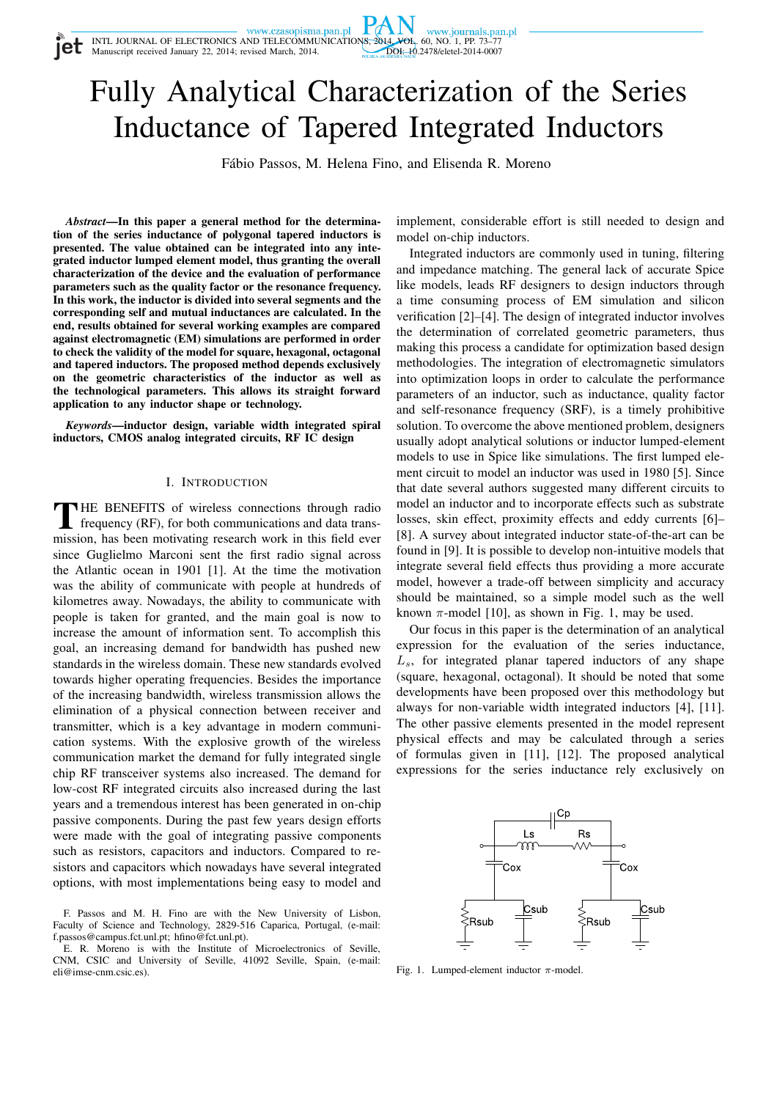# Fully Analytical Characterization of the Series Inductance of Tapered Integrated Inductors

Fábio Passos, M. Helena Fino, and Elisenda R. Moreno

*Abstract***—In this paper a general method for the determination of the series inductance of polygonal tapered inductors is presented. The value obtained can be integrated into any integrated inductor lumped element model, thus granting the overall characterization of the device and the evaluation of performance parameters such as the quality factor or the resonance frequency. In this work, the inductor is divided into several segments and the corresponding self and mutual inductances are calculated. In the end, results obtained for several working examples are compared against electromagnetic (EM) simulations are performed in order to check the validity of the model for square, hexagonal, octagonal and tapered inductors. The proposed method depends exclusively on the geometric characteristics of the inductor as well as the technological parameters. This allows its straight forward application to any inductor shape or technology.**

*Keywords***—inductor design, variable width integrated spiral inductors, CMOS analog integrated circuits, RF IC design**

## I. INTRODUCTION

**THE BENEFITS** of wireless connections through radio frequency (RF), for both communications and data transmission, has been motivating research work in this field ever THE BENEFITS of wireless connections through radio frequency (RF), for both communications and data transsince Guglielmo Marconi sent the first radio signal across the Atlantic ocean in 1901 [1]. At the time the motivation was the ability of communicate with people at hundreds of kilometres away. Nowadays, the ability to communicate with people is taken for granted, and the main goal is now to increase the amount of information sent. To accomplish this goal, an increasing demand for bandwidth has pushed new standards in the wireless domain. These new standards evolved towards higher operating frequencies. Besides the importance of the increasing bandwidth, wireless transmission allows the elimination of a physical connection between receiver and transmitter, which is a key advantage in modern communication systems. With the explosive growth of the wireless communication market the demand for fully integrated single chip RF transceiver systems also increased. The demand for low-cost RF integrated circuits also increased during the last years and a tremendous interest has been generated in on-chip passive components. During the past few years design efforts were made with the goal of integrating passive components such as resistors, capacitors and inductors. Compared to resistors and capacitors which nowadays have several integrated options, with most implementations being easy to model and

F. Passos and M. H. Fino are with the New University of Lisbon, Faculty of Science and Technology, 2829-516 Caparica, Portugal, (e-mail: f.passos@campus.fct.unl.pt; hfino@fct.unl.pt).

E. R. Moreno is with the Institute of Microelectronics of Seville, CNM, CSIC and University of Seville, 41092 Seville, Spain, (e-mail: eli@imse-cnm.csic.es).

implement, considerable effort is still needed to design and model on-chip inductors.

Integrated inductors are commonly used in tuning, filtering and impedance matching. The general lack of accurate Spice like models, leads RF designers to design inductors through a time consuming process of EM simulation and silicon verification [2]–[4]. The design of integrated inductor involves the determination of correlated geometric parameters, thus making this process a candidate for optimization based design methodologies. The integration of electromagnetic simulators into optimization loops in order to calculate the performance parameters of an inductor, such as inductance, quality factor and self-resonance frequency (SRF), is a timely prohibitive solution. To overcome the above mentioned problem, designers usually adopt analytical solutions or inductor lumped-element models to use in Spice like simulations. The first lumped element circuit to model an inductor was used in 1980 [5]. Since that date several authors suggested many different circuits to model an inductor and to incorporate effects such as substrate losses, skin effect, proximity effects and eddy currents [6]– [8]. A survey about integrated inductor state-of-the-art can be found in [9]. It is possible to develop non-intuitive models that integrate several field effects thus providing a more accurate model, however a trade-off between simplicity and accuracy should be maintained, so a simple model such as the well known  $\pi$ -model [10], as shown in Fig. 1, may be used.

Our focus in this paper is the determination of an analytical expression for the evaluation of the series inductance,  $L<sub>s</sub>$ , for integrated planar tapered inductors of any shape (square, hexagonal, octagonal). It should be noted that some developments have been proposed over this methodology but always for non-variable width integrated inductors [4], [11]. The other passive elements presented in the model represent physical effects and may be calculated through a series of formulas given in [11], [12]. The proposed analytical expressions for the series inductance rely exclusively on



Fig. 1. Lumped-element inductor  $\pi$ -model.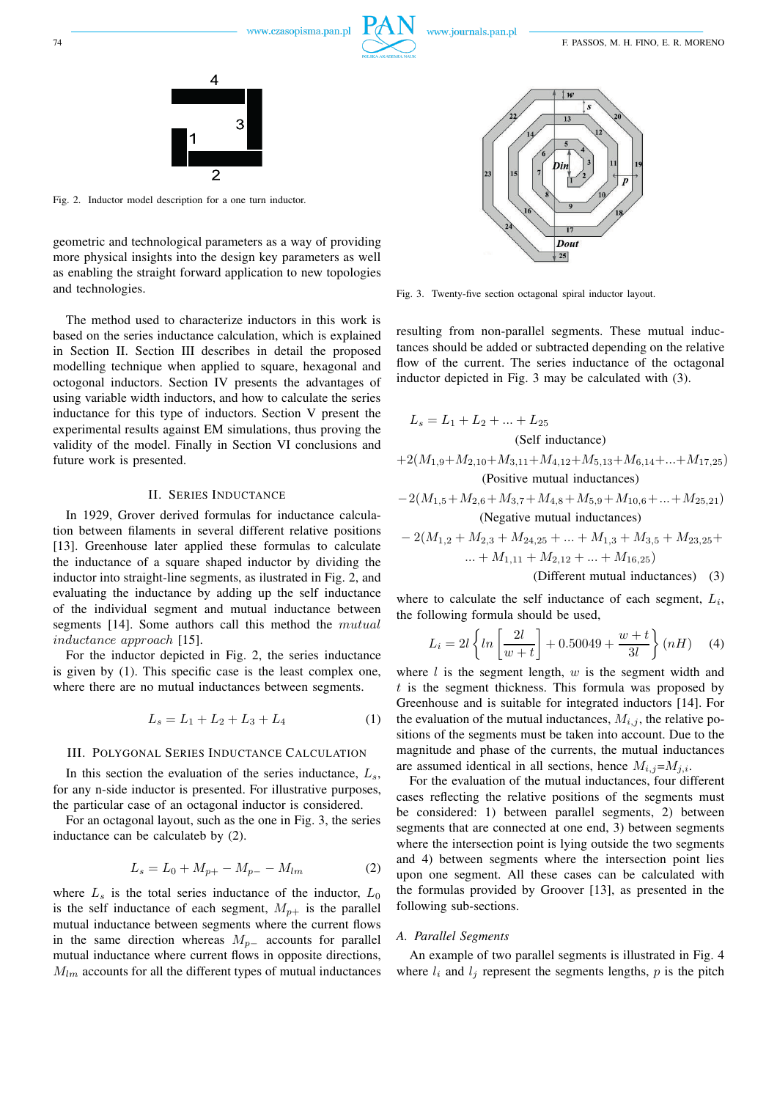



Fig. 2. Inductor model description for a one turn inductor.

geometric and technological parameters as a way of providing more physical insights into the design key parameters as well as enabling the straight forward application to new topologies and technologies.

The method used to characterize inductors in this work is based on the series inductance calculation, which is explained in Section II. Section III describes in detail the proposed modelling technique when applied to square, hexagonal and octogonal inductors. Section IV presents the advantages of using variable width inductors, and how to calculate the series inductance for this type of inductors. Section V present the experimental results against EM simulations, thus proving the validity of the model. Finally in Section VI conclusions and future work is presented.

## II. SERIES INDUCTANCE

In 1929, Grover derived formulas for inductance calculation between filaments in several different relative positions [13]. Greenhouse later applied these formulas to calculate the inductance of a square shaped inductor by dividing the inductor into straight-line segments, as ilustrated in Fig. 2, and evaluating the inductance by adding up the self inductance of the individual segment and mutual inductance between segments [14]. Some authors call this method the *mutual* inductance approach [15].

For the inductor depicted in Fig. 2, the series inductance is given by (1). This specific case is the least complex one, where there are no mutual inductances between segments.

$$
L_s = L_1 + L_2 + L_3 + L_4 \tag{1}
$$

### III. POLYGONAL SERIES INDUCTANCE CALCULATION

In this section the evaluation of the series inductance,  $L_s$ , for any n-side inductor is presented. For illustrative purposes, the particular case of an octagonal inductor is considered.

For an octagonal layout, such as the one in Fig. 3, the series inductance can be calculateb by (2).

$$
L_s = L_0 + M_{p+} - M_{p-} - M_{lm} \tag{2}
$$

where  $L<sub>s</sub>$  is the total series inductance of the inductor,  $L<sub>0</sub>$ is the self inductance of each segment,  $M_{p+}$  is the parallel mutual inductance between segments where the current flows in the same direction whereas  $M_{p-}$  accounts for parallel mutual inductance where current flows in opposite directions,  $M_{lm}$  accounts for all the different types of mutual inductances



Fig. 3. Twenty-five section octagonal spiral inductor layout.

resulting from non-parallel segments. These mutual inductances should be added or subtracted depending on the relative flow of the current. The series inductance of the octagonal inductor depicted in Fig. 3 may be calculated with (3).

$$
L_s = L_1 + L_2 + \dots + L_{25}
$$
  
(Self inductance)  
+2(M<sub>1,9</sub>+M<sub>2,10</sub>+M<sub>3,11</sub>+M<sub>4,12</sub>+M<sub>5,13</sub>+M<sub>6,14</sub>+

$$
2(M_{1,9}+M_{2,10}+M_{3,11}+M_{4,12}+M_{5,13}+M_{6,14}+\ldots+M_{17,25})
$$
  
(Positive mutual inductances)

$$
-2(M_{1,5} + M_{2,6} + M_{3,7} + M_{4,8} + M_{5,9} + M_{10,6} + \dots + M_{25,21})
$$
  
(Negative mutual inductances)

$$
- 2(M_{1,2} + M_{2,3} + M_{24,25} + \dots + M_{1,3} + M_{3,5} + M_{23,25} + \dots + M_{1,11} + M_{2,12} + \dots + M_{16,25})
$$

(Different mutual inductances) (3)

where to calculate the self inductance of each segment,  $L_i$ , the following formula should be used,

$$
L_i = 2l \left\{ ln \left[ \frac{2l}{w+t} \right] + 0.50049 + \frac{w+t}{3l} \right\} (nH) \quad (4)
$$

where  $l$  is the segment length,  $w$  is the segment width and  $t$  is the segment thickness. This formula was proposed by Greenhouse and is suitable for integrated inductors [14]. For the evaluation of the mutual inductances,  $M_{i,j}$ , the relative positions of the segments must be taken into account. Due to the magnitude and phase of the currents, the mutual inductances are assumed identical in all sections, hence  $M_{i,j}=M_{j,i}$ .

For the evaluation of the mutual inductances, four different cases reflecting the relative positions of the segments must be considered: 1) between parallel segments, 2) between segments that are connected at one end, 3) between segments where the intersection point is lying outside the two segments and 4) between segments where the intersection point lies upon one segment. All these cases can be calculated with the formulas provided by Groover [13], as presented in the following sub-sections.

#### *A. Parallel Segments*

An example of two parallel segments is illustrated in Fig. 4 where  $l_i$  and  $l_j$  represent the segments lengths,  $p$  is the pitch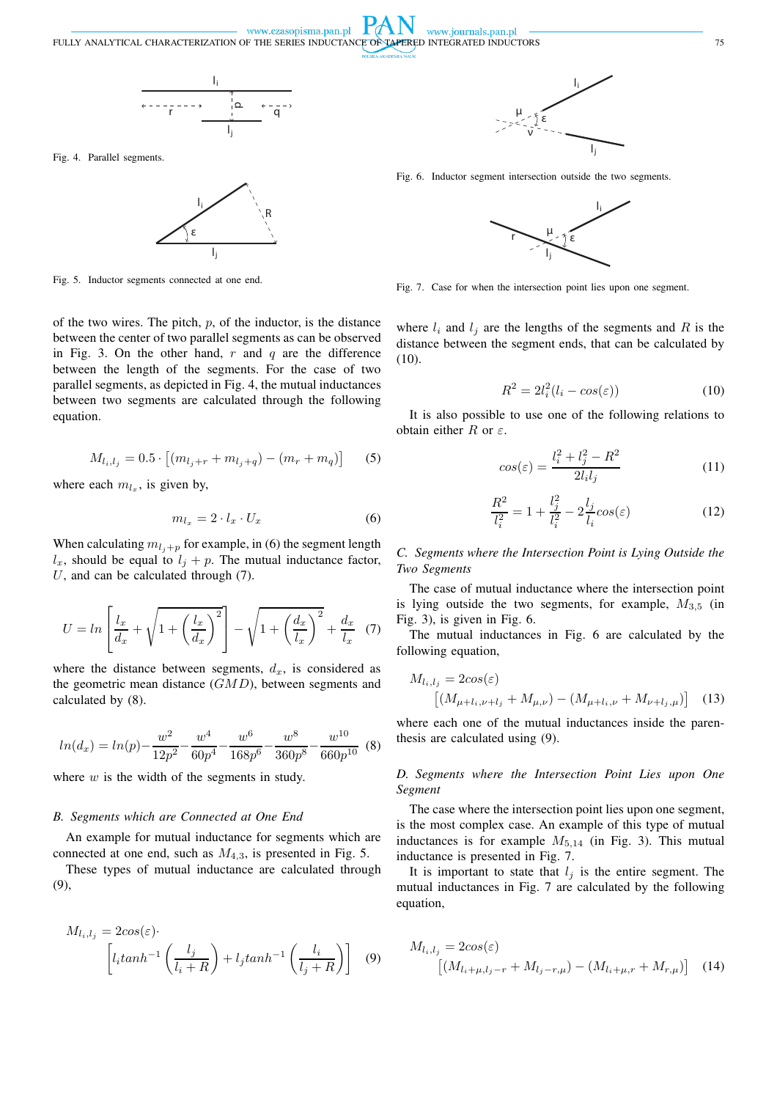www.czasopisma.pan.pl www.journals.pan.pl FULLY ANALYTICAL CHARACTERIZATION OF THE SERIES INDUCTANCE OF TAPERED INTEGRATED INDUCTORS 75



Fig. 4. Parallel segments.



Fig. 5. Inductor segments connected at one end.

of the two wires. The pitch,  $p$ , of the inductor, is the distance between the center of two parallel segments as can be observed in Fig. 3. On the other hand,  $r$  and  $q$  are the difference between the length of the segments. For the case of two parallel segments, as depicted in Fig. 4, the mutual inductances between two segments are calculated through the following equation.

$$
M_{l_i, l_j} = 0.5 \cdot \left[ (m_{l_j+r} + m_{l_j+q}) - (m_r + m_q) \right] \tag{5}
$$

where each  $m_{l_x}$ , is given by,

$$
m_{l_x} = 2 \cdot l_x \cdot U_x \tag{6}
$$

When calculating  $m_{l_1+p}$  for example, in (6) the segment length  $l_x$ , should be equal to  $l_j + p$ . The mutual inductance factor,  $U$ , and can be calculated through  $(7)$ .

$$
U = \ln\left[\frac{l_x}{d_x} + \sqrt{1 + \left(\frac{l_x}{d_x}\right)^2}\right] - \sqrt{1 + \left(\frac{d_x}{l_x}\right)^2} + \frac{d_x}{l_x} \quad (7)
$$

where the distance between segments,  $d_x$ , is considered as the geometric mean distance  $(GMD)$ , between segments and calculated by (8).

$$
ln(d_x) = ln(p) - \frac{w^2}{12p^2} - \frac{w^4}{60p^4} - \frac{w^6}{168p^6} - \frac{w^8}{360p^8} - \frac{w^{10}}{660p^{10}} \tag{8}
$$

where  $w$  is the width of the segments in study.

#### *B. Segments which are Connected at One End*

An example for mutual inductance for segments which are connected at one end, such as  $M_{4,3}$ , is presented in Fig. 5.

These types of mutual inductance are calculated through (9),

$$
M_{l_i,l_j} = 2\cos(\varepsilon) \cdot \left[ l_i \tanh^{-1} \left( \frac{l_j}{l_i + R} \right) + l_j \tanh^{-1} \left( \frac{l_i}{l_j + R} \right) \right] \tag{9}
$$



Fig. 6. Inductor segment intersection outside the two segments.



Fig. 7. Case for when the intersection point lies upon one segment.

where  $l_i$  and  $l_j$  are the lengths of the segments and R is the distance between the segment ends, that can be calculated by  $(10).$ 

$$
R^2 = 2l_i^2(l_i - \cos(\varepsilon))\tag{10}
$$

It is also possible to use one of the following relations to obtain either R or  $\varepsilon$ .

$$
cos(\varepsilon) = \frac{l_i^2 + l_j^2 - R^2}{2l_i l_j}
$$
\n(11)

$$
\frac{R^2}{l_i^2} = 1 + \frac{l_j^2}{l_i^2} - 2\frac{l_j}{l_i}cos(\varepsilon)
$$
 (12)

*C. Segments where the Intersection Point is Lying Outside the Two Segments*

The case of mutual inductance where the intersection point is lying outside the two segments, for example,  $M_{3,5}$  (in Fig. 3), is given in Fig. 6.

The mutual inductances in Fig. 6 are calculated by the following equation,

$$
M_{l_i,l_j} = 2\cos(\varepsilon)
$$

$$
[(M_{\mu+l_i,\nu+l_j} + M_{\mu,\nu}) - (M_{\mu+l_i,\nu} + M_{\nu+l_j,\mu})] \quad (13)
$$

where each one of the mutual inductances inside the parenthesis are calculated using (9).

*D. Segments where the Intersection Point Lies upon One Segment*

The case where the intersection point lies upon one segment, is the most complex case. An example of this type of mutual inductances is for example  $M_{5,14}$  (in Fig. 3). This mutual inductance is presented in Fig. 7.

It is important to state that  $l_i$  is the entire segment. The mutual inductances in Fig. 7 are calculated by the following equation,

$$
M_{l_i,l_j} = 2\cos(\varepsilon)
$$

$$
[(M_{l_i+\mu,l_j-r} + M_{l_j-r,\mu}) - (M_{l_i+\mu,r} + M_{r,\mu})] \quad (14)
$$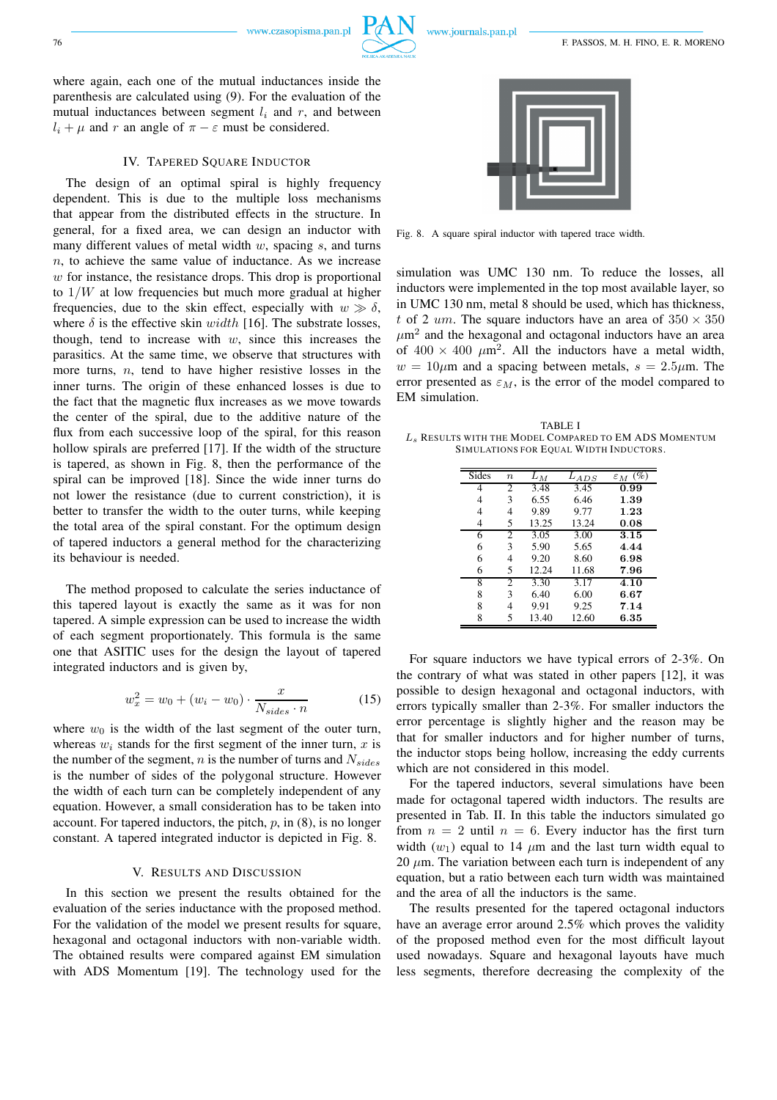

where again, each one of the mutual inductances inside the parenthesis are calculated using (9). For the evaluation of the mutual inductances between segment  $l_i$  and  $r$ , and between  $l_i + \mu$  and r an angle of  $\pi - \varepsilon$  must be considered.

# IV. TAPERED SQUARE INDUCTOR

The design of an optimal spiral is highly frequency dependent. This is due to the multiple loss mechanisms that appear from the distributed effects in the structure. In general, for a fixed area, we can design an inductor with many different values of metal width  $w$ , spacing  $s$ , and turns  $n$ , to achieve the same value of inductance. As we increase  $w$  for instance, the resistance drops. This drop is proportional to  $1/W$  at low frequencies but much more gradual at higher frequencies, due to the skin effect, especially with  $w \gg \delta$ , where  $\delta$  is the effective skin width [16]. The substrate losses, though, tend to increase with  $w$ , since this increases the parasitics. At the same time, we observe that structures with more turns,  $n$ , tend to have higher resistive losses in the inner turns. The origin of these enhanced losses is due to the fact that the magnetic flux increases as we move towards the center of the spiral, due to the additive nature of the flux from each successive loop of the spiral, for this reason hollow spirals are preferred [17]. If the width of the structure is tapered, as shown in Fig. 8, then the performance of the spiral can be improved [18]. Since the wide inner turns do not lower the resistance (due to current constriction), it is better to transfer the width to the outer turns, while keeping the total area of the spiral constant. For the optimum design of tapered inductors a general method for the characterizing its behaviour is needed.

The method proposed to calculate the series inductance of this tapered layout is exactly the same as it was for non tapered. A simple expression can be used to increase the width of each segment proportionately. This formula is the same one that ASITIC uses for the design the layout of tapered integrated inductors and is given by,

$$
w_x^2 = w_0 + (w_i - w_0) \cdot \frac{x}{N_{sides} \cdot n}
$$
 (15)

where  $w_0$  is the width of the last segment of the outer turn, whereas  $w_i$  stands for the first segment of the inner turn, x is the number of the segment,  $n$  is the number of turns and  $N_{sides}$ is the number of sides of the polygonal structure. However the width of each turn can be completely independent of any equation. However, a small consideration has to be taken into account. For tapered inductors, the pitch,  $p$ , in  $(8)$ , is no longer constant. A tapered integrated inductor is depicted in Fig. 8.

## V. RESULTS AND DISCUSSION

In this section we present the results obtained for the evaluation of the series inductance with the proposed method. For the validation of the model we present results for square, hexagonal and octagonal inductors with non-variable width. The obtained results were compared against EM simulation with ADS Momentum [19]. The technology used for the



Fig. 8. A square spiral inductor with tapered trace width.

simulation was UMC 130 nm. To reduce the losses, all inductors were implemented in the top most available layer, so in UMC 130 nm, metal 8 should be used, which has thickness, t of 2 um. The square inductors have an area of  $350 \times 350$  $\mu$ m<sup>2</sup> and the hexagonal and octagonal inductors have an area of  $400 \times 400 \ \mu \text{m}^2$ . All the inductors have a metal width,  $w = 10 \mu m$  and a spacing between metals,  $s = 2.5 \mu m$ . The error presented as  $\varepsilon_M$ , is the error of the model compared to EM simulation.

TABLE I L<sup>s</sup> RESULTS WITH THE MODEL COMPARED TO EM ADS MOMENTUM SIMULATIONS FOR EQUAL WIDTH INDUCTORS.

| Sides | $\boldsymbol{n}$ | $_{LM}$ | $\it L_{ADS}$ | (%<br>$\varepsilon_M$ |
|-------|------------------|---------|---------------|-----------------------|
| 4     | 2                | 3.48    | 3.45          | 0.99                  |
| 4     | 3                | 6.55    | 6.46          | 1.39                  |
| 4     | 4                | 9.89    | 9.77          | 1.23                  |
| 4     | 5                | 13.25   | 13.24         | 0.08                  |
| 6     | $\overline{c}$   | 3.05    | 3.00          | 3.15                  |
| 6     | 3                | 5.90    | 5.65          | 4.44                  |
| 6     | 4                | 9.20    | 8.60          | 6.98                  |
| 6     | 5                | 12.24   | 11.68         | 7.96                  |
| 8     | $\overline{c}$   | 3.30    | 3.17          | 4.10                  |
| 8     | 3                | 6.40    | 6.00          | 6.67                  |
| 8     | 4                | 9.91    | 9.25          | 7.14                  |
| 8     | 5                | 13.40   | 12.60         | 6.35                  |

For square inductors we have typical errors of 2-3%. On the contrary of what was stated in other papers [12], it was possible to design hexagonal and octagonal inductors, with errors typically smaller than 2-3%. For smaller inductors the error percentage is slightly higher and the reason may be that for smaller inductors and for higher number of turns, the inductor stops being hollow, increasing the eddy currents which are not considered in this model.

For the tapered inductors, several simulations have been made for octagonal tapered width inductors. The results are presented in Tab. II. In this table the inductors simulated go from  $n = 2$  until  $n = 6$ . Every inductor has the first turn width  $(w_1)$  equal to 14  $\mu$ m and the last turn width equal to  $20 \mu$ m. The variation between each turn is independent of any equation, but a ratio between each turn width was maintained and the area of all the inductors is the same.

The results presented for the tapered octagonal inductors have an average error around 2.5% which proves the validity of the proposed method even for the most difficult layout used nowadays. Square and hexagonal layouts have much less segments, therefore decreasing the complexity of the